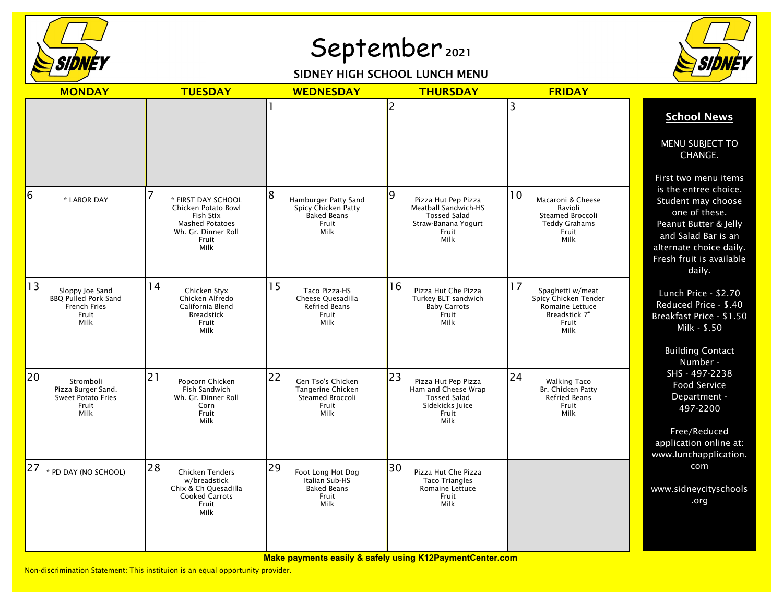

## September 2021

## SIDNEY HIGH SCHOOL LUNCH MENU



| <b>MONDAY</b>                                                                         | <b>TUESDAY</b>                                                                                                           | <b>WEDNESDAY</b>                                                                         | <b>THURSDAY</b>                                                                                                 | <b>FRIDAY</b>                                                                                       |                                                                                                                                                                                                       |
|---------------------------------------------------------------------------------------|--------------------------------------------------------------------------------------------------------------------------|------------------------------------------------------------------------------------------|-----------------------------------------------------------------------------------------------------------------|-----------------------------------------------------------------------------------------------------|-------------------------------------------------------------------------------------------------------------------------------------------------------------------------------------------------------|
|                                                                                       |                                                                                                                          |                                                                                          | 2                                                                                                               | 3                                                                                                   | <b>School News</b>                                                                                                                                                                                    |
|                                                                                       |                                                                                                                          |                                                                                          |                                                                                                                 |                                                                                                     | MENU SUBJECT TO<br>CHANGE.                                                                                                                                                                            |
| 6<br>* LABOR DAY                                                                      | * FIRST DAY SCHOOL<br>Chicken Potato Bowl<br>Fish Stix<br><b>Mashed Potatoes</b><br>Wh. Gr. Dinner Roll<br>Fruit<br>Milk | 8<br>Hamburger Patty Sand<br>Spicy Chicken Patty<br><b>Baked Beans</b><br>Fruit<br>Milk  | 9<br>Pizza Hut Pep Pizza<br>Meatball Sandwich-HS<br><b>Tossed Salad</b><br>Straw-Banana Yogurt<br>Fruit<br>Milk | 10<br>Macaroni & Cheese<br>Ravioli<br>Steamed Broccoli<br><b>Teddy Grahams</b><br>Fruit<br>Milk     | First two menu items<br>is the entree choice.<br>Student may choose<br>one of these.<br>Peanut Butter & Jelly<br>and Salad Bar is an<br>alternate choice daily.<br>Fresh fruit is available<br>daily. |
| 13<br>Sloppy Joe Sand<br><b>BBQ Pulled Pork Sand</b><br>French Fries<br>Fruit<br>Milk | 14<br>Chicken Styx<br>Chicken Alfredo<br>California Blend<br><b>Breadstick</b><br>Fruit<br>Milk                          | 15<br>Taco Pizza-HS<br>Cheese Quesadilla<br>Refried Beans<br>Fruit<br>Milk               | 16<br>Pizza Hut Che Pizza<br>Turkey BLT sandwich<br><b>Baby Carrots</b><br>Fruit<br>Milk                        | 17<br>Spaghetti w/meat<br>Spicy Chicken Tender<br>Romaine Lettuce<br>Breadstick 7"<br>Fruit<br>Milk | Lunch Price - \$2.70<br>Reduced Price - \$.40<br>Breakfast Price - \$1.50<br>Milk - \$.50<br><b>Building Contact</b>                                                                                  |
| 20<br>Stromboli<br>Pizza Burger Sand.<br><b>Sweet Potato Fries</b><br>Fruit<br>Milk   | 21<br>Popcorn Chicken<br>Fish Sandwich<br>Wh. Gr. Dinner Roll<br>Corn<br>Fruit<br>Milk                                   | 22<br>Gen Tso's Chicken<br><b>Tangerine Chicken</b><br>Steamed Broccoli<br>Fruit<br>Milk | 23<br>Pizza Hut Pep Pizza<br>Ham and Cheese Wrap<br><b>Tossed Salad</b><br>Sidekicks Juice<br>Fruit<br>Milk     | 24<br><b>Walking Taco</b><br>Br. Chicken Patty<br><b>Refried Beans</b><br>Fruit<br>Milk             | Number -<br>SHS - 497-2238<br><b>Food Service</b><br>Department -<br>497-2200<br>Free/Reduced<br>application online at:<br>www.lunchapplication.                                                      |
| 27<br>* PD DAY (NO SCHOOL)                                                            | 28<br><b>Chicken Tenders</b><br>w/breadstick<br>Chix & Ch Quesadilla<br><b>Cooked Carrots</b><br>Fruit<br>Milk           | 29<br>Foot Long Hot Dog<br>Italian Sub-HS<br><b>Baked Beans</b><br>Fruit<br>Milk         | 30<br>Pizza Hut Che Pizza<br><b>Taco Triangles</b><br><b>Romaine Lettuce</b><br>Fruit<br>Milk                   |                                                                                                     | com<br>www.sidneycityschools<br>.org                                                                                                                                                                  |

**Make payments easily & safely using K12PaymentCenter.com**

Non-discrimination Statement: This instituion is an equal opportunity provider.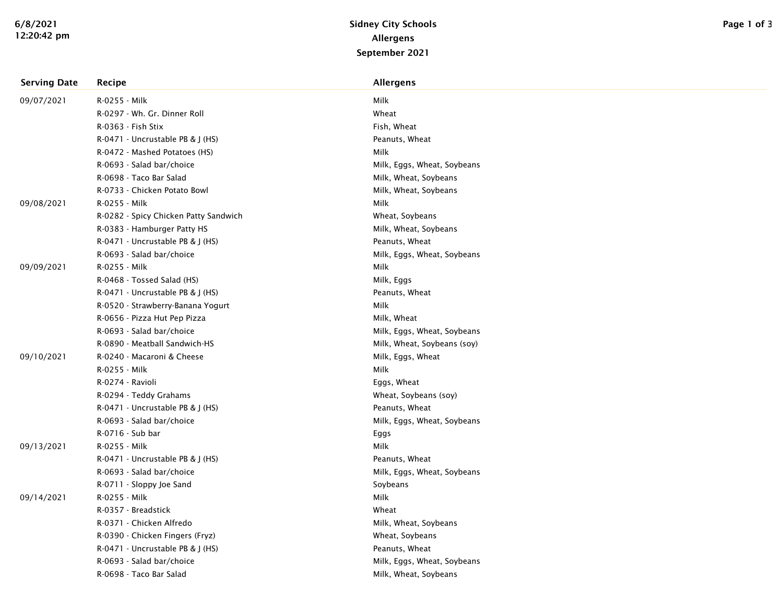| <b>Serving Date</b> | Recipe                                | <b>Allergens</b>            |
|---------------------|---------------------------------------|-----------------------------|
| 09/07/2021          | R-0255 - Milk                         | Milk                        |
|                     | R-0297 - Wh. Gr. Dinner Roll          | Wheat                       |
|                     | R-0363 - Fish Stix                    | Fish, Wheat                 |
|                     | R-0471 - Uncrustable PB & J (HS)      | Peanuts, Wheat              |
|                     | R-0472 - Mashed Potatoes (HS)         | Milk                        |
|                     | R-0693 - Salad bar/choice             | Milk, Eggs, Wheat, Soybeans |
|                     | R-0698 - Taco Bar Salad               | Milk, Wheat, Soybeans       |
|                     | R-0733 - Chicken Potato Bowl          | Milk, Wheat, Soybeans       |
| 09/08/2021          | R-0255 - Milk                         | Milk                        |
|                     | R-0282 - Spicy Chicken Patty Sandwich | Wheat, Soybeans             |
|                     | R-0383 - Hamburger Patty HS           | Milk, Wheat, Soybeans       |
|                     | R-0471 - Uncrustable PB & J (HS)      | Peanuts, Wheat              |
|                     | R-0693 - Salad bar/choice             | Milk, Eggs, Wheat, Soybeans |
| 09/09/2021          | R-0255 - Milk                         | Milk                        |
|                     | R-0468 - Tossed Salad (HS)            | Milk, Eggs                  |
|                     | R-0471 - Uncrustable PB & J (HS)      | Peanuts, Wheat              |
|                     | R-0520 - Strawberry-Banana Yogurt     | Milk                        |
|                     | R-0656 - Pizza Hut Pep Pizza          | Milk, Wheat                 |
|                     | R-0693 - Salad bar/choice             | Milk, Eggs, Wheat, Soybeans |
|                     | R-0890 - Meatball Sandwich-HS         | Milk, Wheat, Soybeans (soy) |
| 09/10/2021          | R-0240 - Macaroni & Cheese            | Milk, Eggs, Wheat           |
|                     | R-0255 - Milk                         | Milk                        |
|                     | R-0274 - Ravioli                      | Eggs, Wheat                 |
|                     | R-0294 - Teddy Grahams                | Wheat, Soybeans (soy)       |
|                     | R-0471 - Uncrustable PB & J (HS)      | Peanuts, Wheat              |
|                     | R-0693 - Salad bar/choice             | Milk, Eggs, Wheat, Soybeans |
|                     | R-0716 - Sub bar                      | Eggs                        |
| 09/13/2021          | R-0255 - Milk                         | Milk                        |
|                     | R-0471 - Uncrustable PB & J (HS)      | Peanuts, Wheat              |
|                     | R-0693 - Salad bar/choice             | Milk, Eggs, Wheat, Soybeans |
|                     | R-0711 - Sloppy Joe Sand              | Soybeans                    |
| 09/14/2021          | R-0255 - Milk                         | Milk                        |
|                     | R-0357 - Breadstick                   | Wheat                       |
|                     | R-0371 - Chicken Alfredo              | Milk, Wheat, Soybeans       |
|                     | R-0390 - Chicken Fingers (Fryz)       | Wheat, Soybeans             |
|                     | R-0471 - Uncrustable PB & J (HS)      | Peanuts, Wheat              |
|                     | R-0693 - Salad bar/choice             | Milk, Eggs, Wheat, Soybeans |
|                     | R-0698 - Taco Bar Salad               | Milk, Wheat, Soybeans       |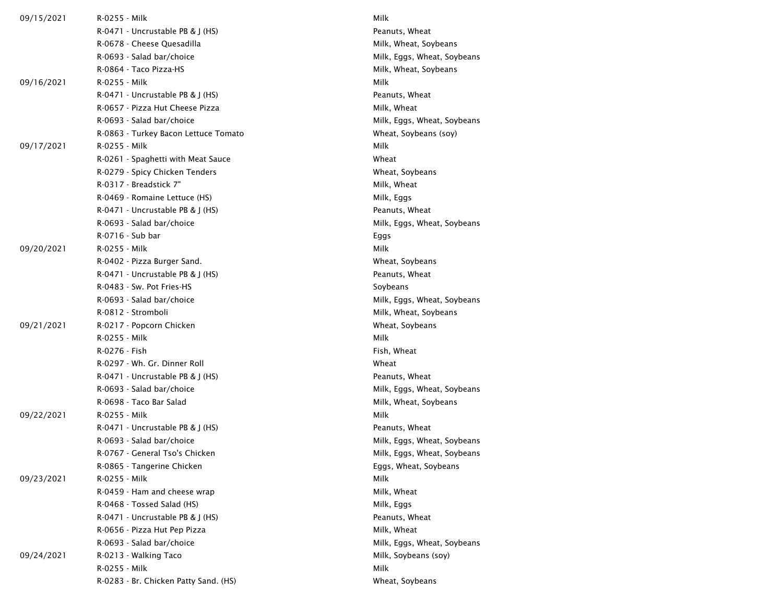| 09/15/2021 | R-0255 - Milk                         | Milk                        |
|------------|---------------------------------------|-----------------------------|
|            | $R-0471$ - Uncrustable PB & J (HS)    | Peanuts, Wheat              |
|            | R-0678 - Cheese Quesadilla            | Milk, Wheat, Soybeans       |
|            | R-0693 - Salad bar/choice             | Milk, Eggs, Wheat, Soybeans |
|            | R-0864 - Taco Pizza-HS                | Milk, Wheat, Soybeans       |
| 09/16/2021 | R-0255 - Milk                         | Milk                        |
|            | R-0471 - Uncrustable PB & J (HS)      | Peanuts, Wheat              |
|            | R-0657 - Pizza Hut Cheese Pizza       | Milk, Wheat                 |
|            | R-0693 - Salad bar/choice             | Milk, Eggs, Wheat, Soybeans |
|            | R-0863 - Turkey Bacon Lettuce Tomato  | Wheat, Soybeans (soy)       |
| 09/17/2021 | R-0255 - Milk                         | Milk                        |
|            | R-0261 - Spaghetti with Meat Sauce    | Wheat                       |
|            | R-0279 - Spicy Chicken Tenders        | Wheat, Soybeans             |
|            | R-0317 - Breadstick 7"                | Milk, Wheat                 |
|            | R-0469 - Romaine Lettuce (HS)         | Milk, Eggs                  |
|            | $R-0471$ - Uncrustable PB & J (HS)    | Peanuts, Wheat              |
|            | R-0693 - Salad bar/choice             | Milk, Eggs, Wheat, Soybeans |
|            | R-0716 - Sub bar                      | Eggs                        |
| 09/20/2021 | R-0255 - Milk                         | Milk                        |
|            | R-0402 - Pizza Burger Sand.           | Wheat, Soybeans             |
|            | R-0471 - Uncrustable PB & J (HS)      | Peanuts, Wheat              |
|            | R-0483 - Sw. Pot Fries-HS             | Soybeans                    |
|            | R-0693 - Salad bar/choice             | Milk, Eggs, Wheat, Soybeans |
|            | R-0812 - Stromboli                    | Milk, Wheat, Soybeans       |
| 09/21/2021 | R-0217 - Popcorn Chicken              | Wheat, Soybeans             |
|            | R-0255 - Milk                         | Milk                        |
|            | R-0276 - Fish                         | Fish, Wheat                 |
|            | R-0297 - Wh. Gr. Dinner Roll          | Wheat                       |
|            | $R-0471$ - Uncrustable PB & J (HS)    | Peanuts, Wheat              |
|            | R-0693 - Salad bar/choice             | Milk, Eggs, Wheat, Soybeans |
|            | R-0698 - Taco Bar Salad               | Milk, Wheat, Soybeans       |
| 09/22/2021 | R-0255 - Milk                         | Milk                        |
|            | $R-0471$ - Uncrustable PB & J (HS)    | Peanuts, Wheat              |
|            | R-0693 - Salad bar/choice             | Milk, Eggs, Wheat, Soybeans |
|            | R-0767 - General Tso's Chicken        | Milk, Eggs, Wheat, Soybeans |
|            | R-0865 - Tangerine Chicken            | Eggs, Wheat, Soybeans       |
| 09/23/2021 | R-0255 - Milk                         | Milk                        |
|            | R-0459 - Ham and cheese wrap          | Milk, Wheat                 |
|            | R-0468 - Tossed Salad (HS)            | Milk, Eggs                  |
|            | R-0471 - Uncrustable PB & J (HS)      | Peanuts, Wheat              |
|            | R-0656 - Pizza Hut Pep Pizza          | Milk, Wheat                 |
|            | R-0693 - Salad bar/choice             | Milk, Eggs, Wheat, Soybeans |
| 09/24/2021 | R-0213 - Walking Taco                 | Milk, Soybeans (soy)        |
|            | R-0255 - Milk                         | Milk                        |
|            | R-0283 - Br. Chicken Patty Sand. (HS) | Wheat, Soybeans             |